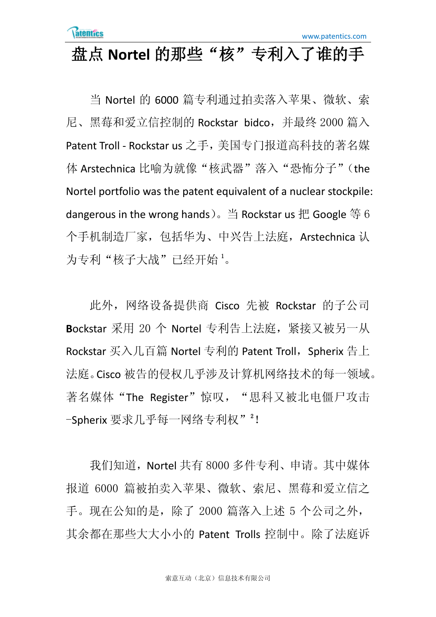## 盘点 **Nortel** 的那些"核"专利入了谁的手

当 Nortel 的 6000 篇专利通过拍卖落入苹果、微软、索 尼、黑莓和爱立信控制的 Rockstar bidco,并最终 2000 篇入 Patent Troll - Rockstar us 之手,美国专门报道高科技的著名媒 体 Arstechnica 比喻为就像"核武器"落入"恐怖分子"(the Nortel portfolio was the patent equivalent of a nuclear stockpile: dangerous in the wrong hands)。当 Rockstar us 把 Google 等 6 个手机制造厂家,包括华为、中兴告上法庭,Arstechnica 认 为专利"核子大战"已经开始 1。

此外,网络设备提供商 Cisco 先被 Rockstar 的子公司 **B**ockstar 采用 20 个 Nortel 专利告上法庭,紧接又被另一从 Rockstar 买入几百篇 Nortel 专利的 Patent Troll, Spherix 告上 法庭。Cisco 被告的侵权几乎涉及计算机网络技术的每一领域。 著名媒体"The Register"惊叹, "思科又被北电僵尸攻击 -Spherix 要求几乎每一网络专利权"<sup>2</sup>!

我们知道,Nortel 共有 8000 多件专利、申请。其中媒体 报道 6000 篇被拍卖入苹果、微软、索尼、黑莓和爱立信之 手。现在公知的是,除了 2000 篇落入上述 5 个公司之外, 其余都在那些大大小小的 Patent Trolls 控制中。除了法庭诉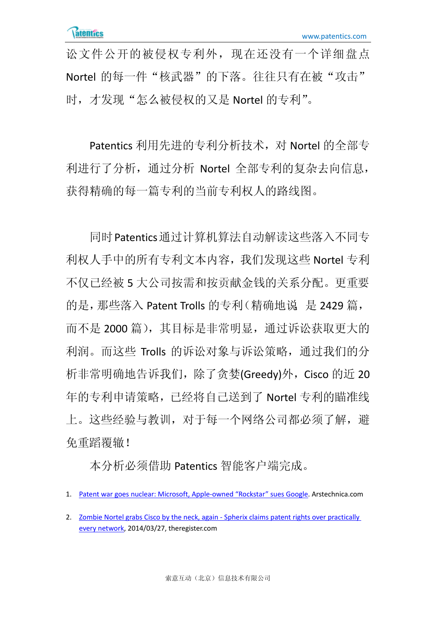讼文件公开的被侵权专利外,现在还没有一个详细盘点 Nortel 的每一件"核武器"的下落。往往只有在被"攻击" 时,才发现"怎么被侵权的又是 Nortel 的专利"。

Patentics 利用先进的专利分析技术,对 Nortel 的全部专 利进行了分析,通过分析 Nortel 全部专利的复杂去向信息, 获得精确的每一篇专利的当前专利权人的路线图。

同时Patentics通过计算机算法自动解读这些落入不同专 利权人手中的所有专利文本内容,我们发现这些 Nortel 专利 不仅已经被 5 大公司按需和按贡献金钱的关系分配。更重要 的是,那些落入 Patent Trolls 的专利(精确地说,是 2429 篇, 而不是 2000 篇), 其目标是非常明显, 通过诉讼获取更大的 利润。而这些 Trolls 的诉讼对象与诉讼策略,通过我们的分 析非常明确地告诉我们,除了贪婪(Greedy)外, Cisco 的近 20 年的专利申请策略,已经将自己送到了 Nortel 专利的瞄准线 上。这些经验与教训,对于每一个网络公司都必须了解,避 免重蹈覆辙!

本分析必须借助 Patentics 智能客户端完成。

<sup>1.</sup> [Patent war goes nuclear: Microsoft, Apple-owned "Rockstar" sues Google.](http://arstechnica.com/tech-policy/2013/10/patent-war-goes-nuclear-microsoft-apple-owned-rockstar-sues-google/) Arstechnica.com

<sup>2.</sup> [Zombie Nortel grabs Cisco by the neck, again](http://www.theregister.co.uk/2014/03/27/zombie_nortel_grabs_cisco_by_the_neck_again/) - Spherix claims patent rights over practically [every network,](http://www.theregister.co.uk/2014/03/27/zombie_nortel_grabs_cisco_by_the_neck_again/) 2014/03/27, theregister.com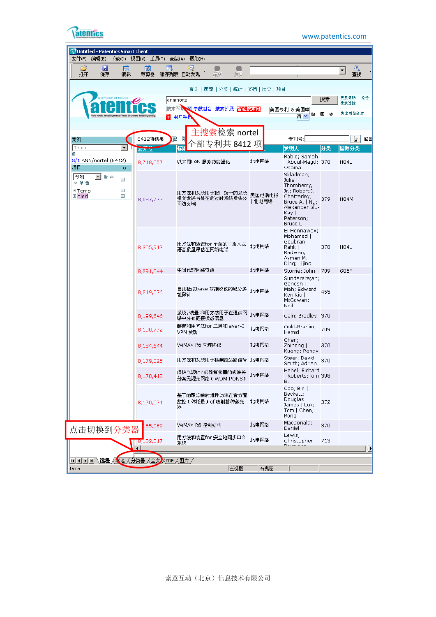| atentit |
|---------|
|         |

www.patentics.com

| Untitled - Patentics Smart Client                                                       |                                               |                                                                                   |                 |                                                                                                                                              |                |                            |
|-----------------------------------------------------------------------------------------|-----------------------------------------------|-----------------------------------------------------------------------------------|-----------------|----------------------------------------------------------------------------------------------------------------------------------------------|----------------|----------------------------|
| 编辑(E) 下载(D) 视图(Y) 工具(I)<br>文件(E)<br>ы<br>r                                              | 圃<br>陌                                        | 高级(A) 帮助(H)<br>لرجا                                                               |                 |                                                                                                                                              |                | Щ<br>▼                     |
| 打开<br>保存<br>编辑                                                                          | 裁剪器                                           | 缓存列表 自动发现<br>前页<br>后页                                                             |                 |                                                                                                                                              |                | 杳找                         |
| We web intelligenc                                                                      | 븊<br>e intelligenti                           | 首页  <b>捜索 </b> 分类 统计 文档 历史 项目<br> ann/nortei<br>搜索帮助<br>※ 字段组合 搜索扩展 智能搜索向<br>用户手册 |                 | 美国专利 &美国申<br>劼<br>请                                                                                                                          | 搜索<br>底<br>-SS | 搜索帮助  论坛<br>搜索过滤<br>快速测览全文 |
| 案例<br>$\star$<br>Temp                                                                   | 8412项结果:<br>昆                                 | 主搜索检索 nortel<br>E<br>全部专利共 8412 项<br>标量                                           |                 | 专利号: <br>发明人                                                                                                                                 | 分类             | 上<br>回区<br>国际分类            |
| 勔<br>S/1 ANN/nortel (8412)<br>项目<br>×.                                                  | $25\pi$<br>8,718,057                          | 以太网LAN 服务功能强化                                                                     | 北电网络            | Rabie; Sameh<br>  Aboul-Magd; 370<br>Osama                                                                                                   |                | <b>H04L</b>                |
| 专利<br>上へ<br>$\mathbf{r}$<br>□<br>$\times$ 60 $\times$<br>⊞Temp<br>□<br>$\Box$<br>⊞ oled | 8,687,773                                     | 用方法和系统用于接口统一的系统<br>报文发送与处在的过时系统后头公<br>司防火墙                                        | 美国电话电报<br> 北电网络 | Skladman;<br>Julia  <br>Thornberry,<br>Jr.; Robert J. I<br>Chatterley:<br>Bruce A.   Ng;<br>Alexander Siu-<br>Kay I<br>Peterson;<br>Bruce L. | 379            | <b>H04M</b>                |
|                                                                                         | 8,305,913                                     | 用方法和装置for 单端的非插入式<br>语音质量评估在网络电话                                                  | 北电网络            | El-Hennawey;<br>Mohamed  <br>Goubran;<br>Rafik I<br>Radwan;<br>Ayman M.  <br>Ding; Lijing                                                    | 370            | H04L                       |
|                                                                                         | 8,291,044                                     | 中间代理网络资源                                                                          | 北电网络            | Storrie; John                                                                                                                                | 709            | G06F                       |
|                                                                                         | 8,219,076                                     | 自测检法base 站接收仪的码分多<br>址探针                                                          | 北电网络            | Sundararajan;<br>Ganesh  <br>Mah; Edward<br>Ken Kiu  <br>McGowan;<br>Neil                                                                    | 455            |                            |
|                                                                                         | 8,199,646                                     | 系统, 装置,和用方法用于在通信网<br>络中分布链接状态信息                                                   | 北电网络            | Cain; Bradley                                                                                                                                | 370            |                            |
|                                                                                         | 8,190,772                                     | 装置和用方法for 二层和layer-3<br>VPN 发现                                                    | 北电网络            | Ould-Brahim;<br>Hamid                                                                                                                        | 709            |                            |
|                                                                                         | 8,184,644                                     | WiMAX R6 管理协议                                                                     | 北电网络            | Chen;<br>Zhihong  <br>Kuang; Randy                                                                                                           | 370            |                            |
|                                                                                         | 8,179,825                                     | 用方法和系统用于检测雷达路信号 北电网络                                                              |                 | Steer; David  <br>Smith: Adrian                                                                                                              | 370            |                            |
|                                                                                         | 8,170,418                                     | 保护光源for 多路复接器的多波长<br>分案无源光网络( WDM-PONS)                                           | 北电网络            | Habel; Richard<br>  Roberts; Kim 398<br>в.                                                                                                   |                |                            |
|                                                                                         | 8,170,074                                     | 基于的跟踪喷射播种功率在背方面<br>监控(体脂量) of 喷射播种激光<br>뾺                                         | 北电网络            | Cao; Bin  <br>Beckett;<br>Douglas<br>James   Luk;<br>Tom   Chen;<br>Rong                                                                     | 372            |                            |
| 点击切换到分类器                                                                                | 165,062                                       | WiMAX R6 控制结构                                                                     | 北电网络            | MacDonald;<br>Daniel                                                                                                                         | 370            |                            |
|                                                                                         | $\sqrt{18,132,017}$<br>$\left  \cdot \right $ | 用方法和装置for 安全地同步口令<br>系统                                                           | 北电网络            | Lewis;<br>Christopher                                                                                                                        | 713            |                            |
| H   +   →   →   →   远程 人太地 人分类器 人全文 人PDF 人图片 /                                          |                                               |                                                                                   |                 |                                                                                                                                              |                |                            |
| Done                                                                                    |                                               | 左视图                                                                               | 右视图             |                                                                                                                                              |                |                            |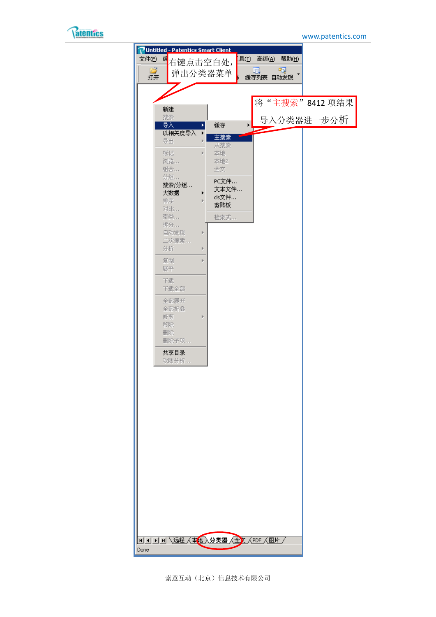

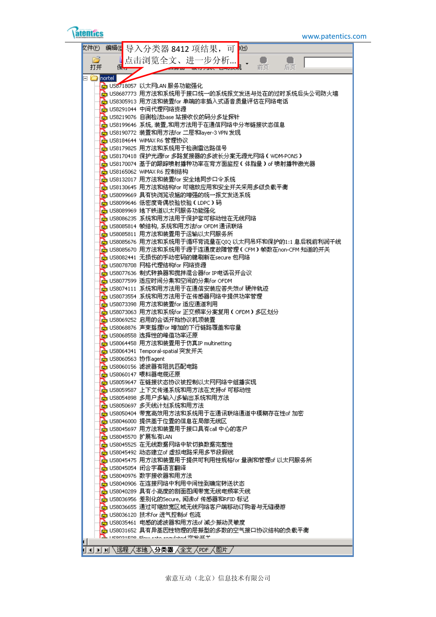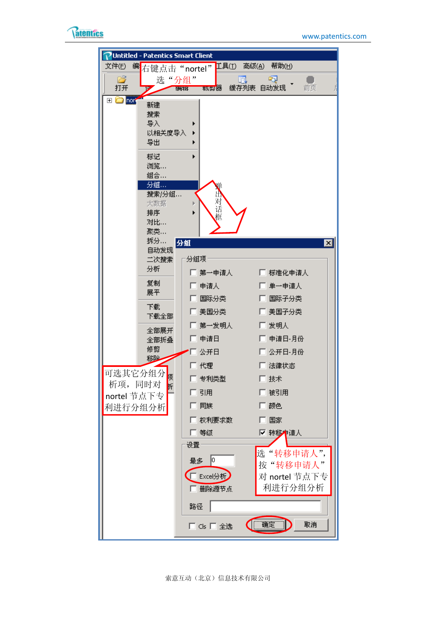

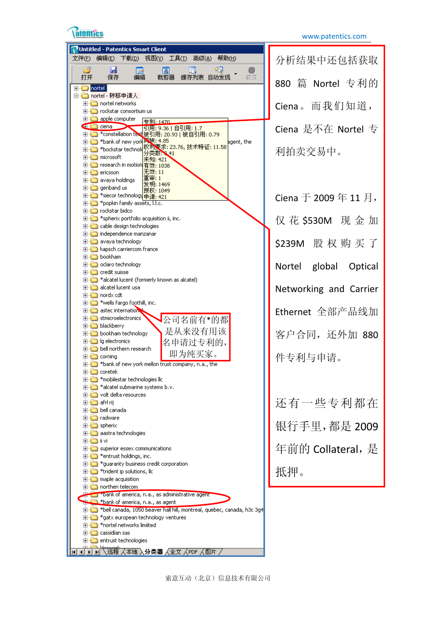

|                            |                          | Untitled - Patentics Smart Client                             |          |          |                         |    |                                                                                      |              |                        |
|----------------------------|--------------------------|---------------------------------------------------------------|----------|----------|-------------------------|----|--------------------------------------------------------------------------------------|--------------|------------------------|
| 文件(E)                      | 编辑(E)                    |                                                               |          |          | 下载(D) 视图(Y) 工具(I) 高级(A) |    | 帮助(H)                                                                                |              | 分析结果中还包括获取             |
|                            |                          |                                                               |          |          |                         |    |                                                                                      |              |                        |
| C                          |                          | ы<br>囩<br>保存<br>编辑                                            |          | 困<br>裁剪器 |                         | P) | 前页                                                                                   |              |                        |
| 打开                         |                          |                                                               |          |          | 缓存列表 自动发现               |    |                                                                                      |              | 880 篇 Nortel 专利的       |
| <b>E</b> - <b>C</b> nortel |                          |                                                               |          |          |                         |    |                                                                                      |              |                        |
|                            |                          | 白 <mark>◯</mark> nortel - 转移申请人                               |          |          |                         |    |                                                                                      |              |                        |
|                            |                          | <b>E</b> nortel networks                                      |          |          |                         |    |                                                                                      | Ciena。而我们知道, |                        |
|                            |                          | <b>E</b> rockstar consortium us                               |          |          |                         |    |                                                                                      |              |                        |
|                            |                          | <b>E</b> -C apple computer                                    |          |          |                         |    |                                                                                      |              |                        |
|                            | <b>E</b> ciena           |                                                               | 专利: 1470 |          | 引用: 9.36   自引用: 1.7     |    |                                                                                      |              |                        |
|                            |                          | 由 <sup>*</sup> constellation ted 被引用: 20.93   被自引用: 0.79      |          |          |                         |    |                                                                                      |              | Ciena 是不在 Nortel 专     |
|                            |                          | 中一 *bank of new york 网族: 4.85                                 |          |          |                         |    | agent, the                                                                           |              |                        |
|                            |                          | 中一 *bockstar technolo权利要求: 23.76, 技术特征: 11.58                 |          |          |                         |    |                                                                                      |              |                        |
|                            | <b>E</b> nicrosoft       |                                                               |          | ウ奕数 ❤️41 |                         |    |                                                                                      | 利拍卖交易中。      |                        |
|                            |                          | 由 ci-ci research in motion 有效; 1038                           | 未知: 421  |          |                         |    |                                                                                      |              |                        |
|                            |                          |                                                               | 无效: 11   |          |                         |    |                                                                                      |              |                        |
|                            | <b>⊞</b> ericsson        |                                                               | 車軍: 1    |          |                         |    |                                                                                      |              |                        |
|                            |                          | <b>⊞</b> avaya holdings                                       | 发明: 1469 |          |                         |    |                                                                                      |              |                        |
|                            |                          | <b>⊞ a</b> genband us                                         | 授权: 1049 |          |                         |    |                                                                                      |              |                        |
|                            |                          | 白 *siecor technology 申请: 421                                  |          |          |                         |    |                                                                                      |              | Ciena 于 2009 年 11 月,   |
|                            |                          | <b>E</b> -C *popkin family assets, I.I.c.                     |          |          |                         |    |                                                                                      |              |                        |
|                            |                          | <b>in foot contract are bidco</b>                             |          |          |                         |    |                                                                                      |              |                        |
|                            |                          | <b>E</b> <sup>1</sup> *spherix portfolio acquisition ii, inc. |          |          |                         |    |                                                                                      |              | 仅 花 \$530M 现 金 加       |
|                            |                          | <b>E</b> cable design technologies                            |          |          |                         |    |                                                                                      |              |                        |
|                            |                          | independence manzanar                                         |          |          |                         |    |                                                                                      |              |                        |
|                            |                          | <b>E</b> -C avaya technology                                  |          |          |                         |    |                                                                                      |              | \$239M 股权购买了           |
|                            |                          | <b>E</b> kapsch carriercom france                             |          |          |                         |    |                                                                                      |              |                        |
|                            | <b>⊞ a</b> bookham       |                                                               |          |          |                         |    |                                                                                      |              |                        |
|                            |                          | <b>E</b> claro technology                                     |          |          |                         |    |                                                                                      |              | Nortel global Optical  |
|                            |                          | <b>⊞</b> credit suisse                                        |          |          |                         |    |                                                                                      |              |                        |
|                            |                          | H- <sup>1</sup> *alcatel lucent (formerly known as alcatel)   |          |          |                         |    |                                                                                      |              |                        |
|                            |                          | <b>E</b> - <b>in</b> alcatel lucent usa                       |          |          |                         |    |                                                                                      |              |                        |
|                            | ⊡ nordx cdt              |                                                               |          |          |                         |    |                                                                                      |              | Networking and Carrier |
|                            |                          | $\Box$ *wells fargo foothill, inc.                            |          |          |                         |    |                                                                                      |              |                        |
|                            |                          | E- astec internation                                          |          |          |                         |    |                                                                                      |              |                        |
|                            |                          | E-C stmicroelectronics                                        |          |          |                         |    |                                                                                      |              | Ethernet 全部产品线加        |
|                            |                          | <b>h</b> blackberry                                           |          |          | 公司名前有*的都                |    |                                                                                      |              |                        |
|                            |                          | 中 bookham technology                                          |          |          | 是从来没有用该                 |    |                                                                                      |              |                        |
|                            |                          | □ lg electronics                                              |          |          |                         |    |                                                                                      |              | 客户合同, 还外加 880          |
|                            |                          | <b>E</b> bell northern research                               |          |          | 名申请过专利的,                |    |                                                                                      |              |                        |
|                            | 田 <mark>一</mark> corning |                                                               |          |          | 即为纯买家。                  |    |                                                                                      |              |                        |
|                            |                          | here the "bank of new york mellon trust company, n.a., the    |          |          |                         |    |                                                                                      | 件专利与申请。      |                        |
|                            |                          |                                                               |          |          |                         |    |                                                                                      |              |                        |
|                            | □ coretek                |                                                               |          |          |                         |    |                                                                                      |              |                        |
|                            |                          | 田 *mobilestar technologies llc                                |          |          |                         |    |                                                                                      |              |                        |
|                            |                          | 由 <sup>2</sup> *alcatel submarine systems b.v.                |          |          |                         |    |                                                                                      |              |                        |
|                            |                          | <b>E</b> volt delta resources                                 |          |          |                         |    |                                                                                      |              |                        |
|                            | ⊞~loo afrl rij           |                                                               |          |          |                         |    |                                                                                      |              | 还有一些专利都在               |
|                            |                          | 由 <mark>□</mark> bell canada                                  |          |          |                         |    |                                                                                      |              |                        |
|                            | <b>⊞ □ radware</b>       |                                                               |          |          |                         |    |                                                                                      |              |                        |
|                            | 由 <b>n</b> spherix       |                                                               |          |          |                         |    |                                                                                      |              | 银行手里,都是 2009           |
|                            |                          | <b>E</b> aastra technologies                                  |          |          |                         |    |                                                                                      |              |                        |
|                            | ⊞~l⊟ ii vi               |                                                               |          |          |                         |    |                                                                                      |              |                        |
|                            |                          | Here superior essex communications                            |          |          |                         |    |                                                                                      |              | 年前的 Collateral, 是      |
|                            |                          | $\Box$ *entrust holdings, inc.                                |          |          |                         |    |                                                                                      |              |                        |
|                            |                          | 田 *guaranty business credit corporation                       |          |          |                         |    |                                                                                      |              |                        |
|                            |                          | $\Box$ *trident ip solutions, IIc                             |          |          |                         |    |                                                                                      | 抵押。          |                        |
|                            |                          | $\Box$ maple acquisition                                      |          |          |                         |    |                                                                                      |              |                        |
|                            |                          | northen telecom                                               |          |          |                         |    |                                                                                      |              |                        |
|                            |                          | <b>Contract of america, n.a., as administrative agency</b>    |          |          |                         |    |                                                                                      |              |                        |
|                            |                          | thank of america, n.a., as agent                              |          |          |                         |    |                                                                                      |              |                        |
|                            |                          |                                                               |          |          |                         |    | El- <b>Co</b> *bell canada, 1050 beaver hall hill, montreal, quebec, canada, h3c 3g4 |              |                        |
|                            |                          | ⊞. *gatx european technology ventures                         |          |          |                         |    |                                                                                      |              |                        |
|                            |                          | hortel networks limiited                                      |          |          |                         |    |                                                                                      |              |                        |
|                            |                          | <b>⊞</b> cassidian sas                                        |          |          |                         |    |                                                                                      |              |                        |
|                            |                          | <b>E</b> -C entrust technologies                              |          |          |                         |    |                                                                                      |              |                        |
|                            |                          |                                                               |          |          |                         |    |                                                                                      |              |                        |
|                            |                          |                                                               |          |          |                         |    |                                                                                      |              |                        |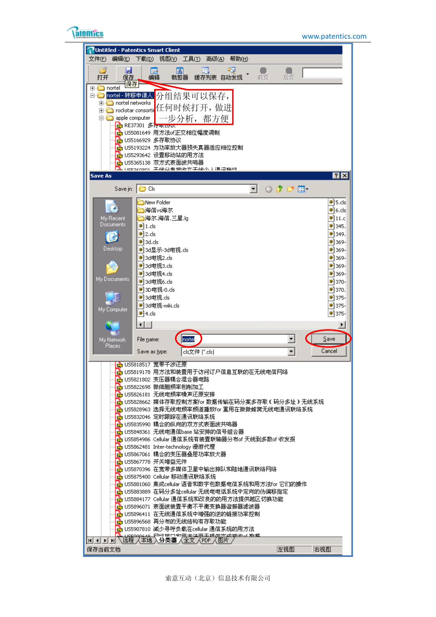

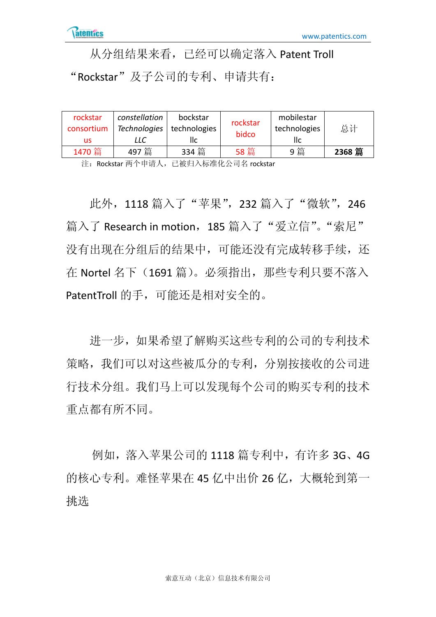从分组结果来看,已经可以确定落入 Patent Troll "Rockstar"及子公司的专利、申请共有:

| rockstar<br>consortium | constellation | bockstar<br>Technologies   technologies | rockstar<br>bidco | mobilestar<br>technologies | 总计     |
|------------------------|---------------|-----------------------------------------|-------------------|----------------------------|--------|
| us                     | LLC           | IІс                                     |                   | llc                        |        |
| 1470 篇                 | 497篇          | 334 篇                                   | 58 篇              | 9 篇                        | 2368 篇 |

注: Rockstar 两个申请人, 已被归入标准化公司名 rockstar

此外, 1118 篇入了"苹果", 232 篇入了"微软", 246 篇入了 Research in motion, 185 篇入了"爱立信"。"索尼" 没有出现在分组后的结果中,可能还没有完成转移手续,还 在 Nortel 名下(1691 篇)。必须指出,那些专利只要不落入 PatentTroll 的手,可能还是相对安全的。

进一步,如果希望了解购买这些专利的公司的专利技术 策略,我们可以对这些被瓜分的专利,分别按接收的公司进 行技术分组。我们马上可以发现每个公司的购买专利的技术 重点都有所不同。

例如,落入苹果公司的 1118 篇专利中,有许多 3G、4G 的核心专利。难怪苹果在 45 亿中出价 26 亿,大概轮到第一 挑选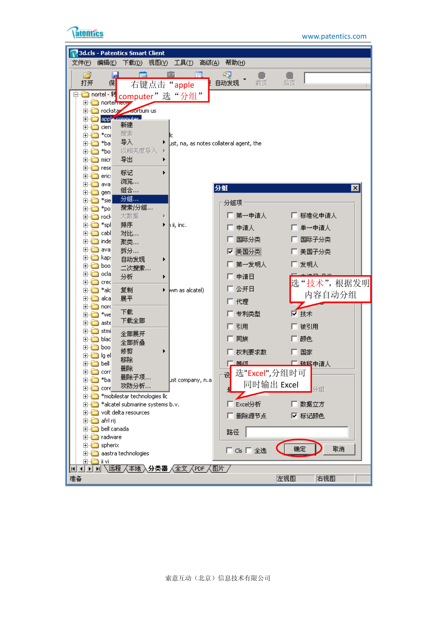

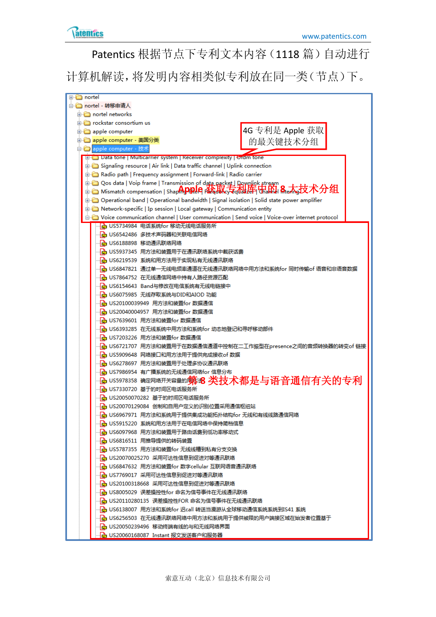

Patentics 根据节点下专利文本内容(1118 篇)自动进行

计算机解读,将发明内容相类似专利放在同一类(节点)下。

| ⊞⊪l⊡ nortel                                                                                     |
|-------------------------------------------------------------------------------------------------|
| 白合 nortel - 转移由请人                                                                               |
| in nortel networks                                                                              |
| ia in rockstar consortium us                                                                    |
| 4G 专利是 Apple 获取<br>apple computer                                                               |
| 中 apple computer - 美国分类<br>的最关键技术分组                                                             |
| apple computer - 技术                                                                             |
| EFT Data tone   Multicarrier system   Receiver complexity   Ordm tone                           |
| Signaling resource   Air link   Data traffic channel   Uplink connection                        |
| ெ்் Radio path   Frequency assignment   Forward-link   Radio carrier                            |
| டு - Qos data   Voip frame   Transmission of data packet   <u>Downlin</u> k stream              |
| <b>E-Communistion ShapenSation   ShapenDIPLIC Part discussion Contract</b>                      |
| 面 → Operational band   Operational bandwidth   Signal isolation   Solid state power amplifier   |
| <b>E</b> Network-specific   Ip session   Local gateway   Communication entity                   |
| in Voice communication channel   User communication   Send voice   Voice-over internet protocol |
| ├ <mark>ふ</mark> US5734984 电话系统for 移动无线电话服务所                                                    |
| - <mark>A</mark> US6542486 多技术声码器和关联电信网络                                                        |
| - <mark>ト</mark> US6188898 移动通讯联络网络                                                             |
| -- <mark>-A</mark> US5937345 用方法和装置用于在通讯联络系统中截获话费                                               |
| -  <mark>A</mark> US6219539 系统和用方法用于实现私有无线通讯联络                                                  |
| -└ <mark>☆</mark> US6847821 通过单一无线电频率通道在无线通讯联络网络中用方法和系统for 同时传输of 语音和非语音数据                      |
| - <mark>• N</mark> US7864752 在无线通信网络中持有人路径资源匹配                                                  |
|                                                                                                 |
| -  <mark>A</mark> US6154643 Band与修改在电信系统有无线电链接中                                                 |
| - n US6075985 无线存取系统与DID和AIOD 功能                                                                |
| - n US20100039949 用方法和装置for 数据通信                                                                |
| - <mark>• 1</mark> US20040004957 用方法和装置for 数据通信                                                 |
| - <mark>n</mark> US7639601 用方法和装置for 数据通信                                                       |
| -- <mark>-A</mark> US6393285 在无线系统中用方法和系统for 动态地登记和寻呼移动部件                                       |
| - <mark>n</mark> US7203226 用方法和装置for 数据通信                                                       |
| -  <mark>•}</mark> US6721707 用方法和装置用于在数据通信通道中控制在二工作振型在presence之间的音频转换器的转变of 链接                  |
| └ US5909648 网络接口和用方法用于提供完成接收of 数据                                                               |
| └ <mark>☆</mark> US6278697 用方法和装置用于处理多协议通讯联络                                                    |
| ├― US7986954 有广播系统的无线通信网络for 信息分布                                                               |
| <mark>呛</mark> US5978358 确定网络开关容量的 <b>第治8 类技术都是与语音通信有关的专利</b>                                   |
| ├─ US7330720 基于的时间区电话服务所                                                                        |
| └ US20050070282 基于的时间区电话服务所                                                                     |
| ♪ US20070129084 创制和自用户定义的识别位置采用通信枢纽站                                                            |
| ♪ US6967971 用方法和系统用于提供集成功能拓扑结构for 无线和有线线路通信网络                                                   |
| …└ <mark>┌</mark> ┌ US5915220 系统和用方法用于在电信网络中保持简档信息                                              |
| …├ <mark>孟</mark> US6097968 用方法和装置用于路由话费到低功率移动式                                                 |
| …├ <mark>ふ</mark> US6816511 用推导提供的转码装置                                                          |
| …… <mark>……</mark> US5787355 用方法和装置for 无线线槽到私有分支交换                                              |
| …└ <mark>ふ</mark> US20070025270 采用可达性信息到促进对等通讯联络                                                |
| …└── US6847632 用方法和装置for 数字cellular 互联网语音通讯联络                                                   |
|                                                                                                 |
| …│ <mark>ふ</mark> US20100318668 采用可达性信息到促进对等通讯联络                                                |
|                                                                                                 |
|                                                                                                 |
| …… <mark>…</mark> US6138007 用方法和系统for 迟call 转送当漫游从全球移动通信系统系统到IS41 系统                            |
| ┈┣ <mark>ゅ</mark> US6256503 在无线通讯联络网络中用方法和系统用于提供被限的用户端接区域在始发者位置基于                               |
| …├ <mark>─</mark> US20050239496 移动终端有线的与和无线网络界面                                                 |
| - <mark>• •</mark> US20060168087 Instant 报文发送客户和服务器                                             |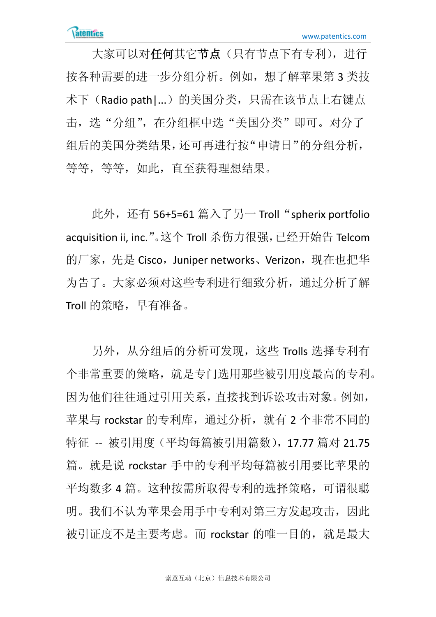大家可以对任何其它节点(只有节点下有专利), 进行 按各种需要的进一步分组分析。例如,想了解苹果第 3 类技 术下(Radio path1...)的美国分类,只需在该节点上右键点 击,选"分组",在分组框中选"美国分类"即可。对分了 组后的美国分类结果,还可再进行按"申请日"的分组分析, 等等,等等,如此,直至获得理想结果。

此外,还有 56+5=61 篇入了另一 Troll "spherix portfolio acquisition ii, inc."。这个 Troll 杀伤力很强,已经开始告 Telcom 的厂家,先是 Cisco, Juniper networks、Verizon,现在也把华 为告了。大家必须对这些专利进行细致分析,通过分析了解 Troll 的策略, 早有准备。

另外,从分组后的分析可发现,这些 Trolls 选择专利有 个非常重要的策略,就是专门选用那些被引用度最高的专利。 因为他们往往通过引用关系,直接找到诉讼攻击对象。例如, 苹果与 rockstar 的专利库, 通过分析, 就有 2 个非常不同的 特征 -- 被引用度(平均每篇被引用篇数), 17.77 篇对 21.75 篇。就是说 rockstar 手中的专利平均每篇被引用要比苹果的 平均数多 4 篇。这种按需所取得专利的选择策略,可谓很聪 明。我们不认为苹果会用手中专利对第三方发起攻击,因此 被引证度不是主要考虑。而 rockstar 的唯一目的,就是最大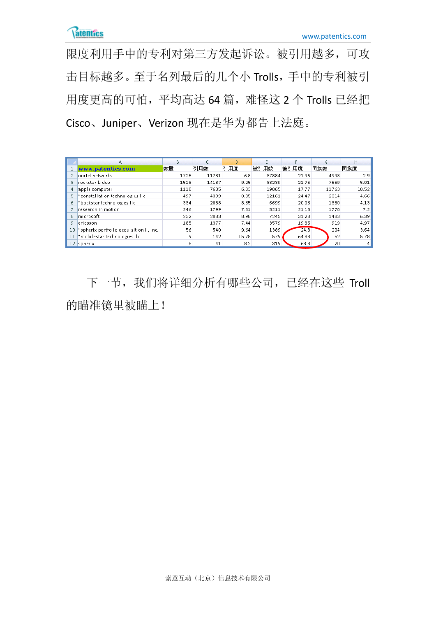限度利用手中的专利对第三方发起诉讼。被引用越多,可攻 击目标越多。至于名列最后的几个小 Trolls,手中的专利被引 用度更高的可怕,平均高达 64 篇,难怪这 2 个 Trolls 已经把 Cisco、Juniper、Verizon 现在是华为都告上法庭。

|                 | A                                       | в    | C     | D     |       |       | G     | H     |
|-----------------|-----------------------------------------|------|-------|-------|-------|-------|-------|-------|
|                 | www.patentics.com                       | 数量   | 引用数   | 引用度   | 被引用数  | 被引用度  | 同族数   | 同族度   |
|                 | nortel networks                         | 1725 | 11731 | 6.8   | 37884 | 21.96 | 4998  | 2.9   |
| 3               | rockstar bidco                          | 1528 | 14137 | 9.25  | 33239 | 21.75 | 7659  | 5.01  |
|                 | apple computer                          | 1118 | 7635  | 6.83  | 19865 | 17.77 | 11763 | 10.52 |
|                 | *constellation technologies llc         | 497  | 4399  | 8.85  | 12161 | 24.47 | 2314  | 4.66  |
| 6               | *bockstar technologies IIc              | 334  | 2888  | 8.65  | 6699  | 20.06 | 1380  | 4.13  |
|                 | research in motion.                     | 246  | 1799  | 7.31  | 5211  | 21.18 | 1770  | 7.2   |
| 8               | microsoft                               | 232  | 2083  | 8.98  | 7245  | 31.23 | 1483  | 6.39  |
| 9               | ericsson                                | 185  | 1377  | 7.44  | 3579  | 19.35 | 919   | 4.97  |
| 10 <sub>1</sub> | *spherix portfolio acquisition ii, inc. | 56   | 540   | 9.64  | 1389  | 24.8  | 204   | 3.64  |
| 11              | *mobilestar technologies llc            | 9    | 142   | 15.78 | 579   | 64.33 | 52    | 5.78  |
| 12              | spherix                                 | 5    | 41    | 8.2   | 319   | 63.8  | 20    |       |

下一节,我们将详细分析有哪些公司,已经在这些 Troll 的瞄准镜里被瞄上!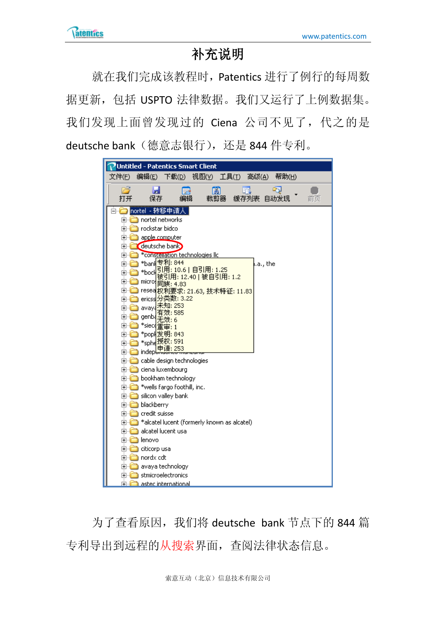## 补充说明

就在我们完成该教程时,Patentics 进行了例行的每周数 据更新,包括 USPTO 法律数据。我们又运行了上例数据集。 我们发现上面曾发现过的 Ciena 公司不见了,代之的是 deutsche bank (德意志银行), 还是 844 件专利。

| Untitled - Patentics Smart Client                                                                                                                                                                                                                                                                                                                                                                                                                                                                                                                                                                                                                                                                                                                           |
|-------------------------------------------------------------------------------------------------------------------------------------------------------------------------------------------------------------------------------------------------------------------------------------------------------------------------------------------------------------------------------------------------------------------------------------------------------------------------------------------------------------------------------------------------------------------------------------------------------------------------------------------------------------------------------------------------------------------------------------------------------------|
| 文件(E)<br>编辑(E)<br>下载(D)<br>视图(y) 工具(I)<br>高级( <u>A</u> )<br>帮助(H)                                                                                                                                                                                                                                                                                                                                                                                                                                                                                                                                                                                                                                                                                           |
| 片<br>尉<br>R)<br>保存<br>裁剪器<br>缓存列表<br>打开<br>自动发现<br>编辑<br>前页                                                                                                                                                                                                                                                                                                                                                                                                                                                                                                                                                                                                                                                                                                 |
| nortel - 转移申请<br>nortel networks<br>⊩⊡<br>rockstar bidco<br>$\overline{\mathbf{H}}$<br>apple computer<br>$\overline{\mathbf{H}}$<br>deutsche bank<br>$\overline{\mathbf{H}}$<br>*constellation technologies llc<br>$\overline{+}$<br>*bani <mark>l专利: 844</mark><br>.a., the<br>$\overline{\mathbf{H}}$<br>引用: 10.6   自引用: 1.25<br>*bock<br>$\overline{\mathbf{H}}$<br>被引用: 12.40   被自引用: 1.2<br>micro;<br>$\pm$<br>同族: 4.83<br>$\overline{\mathbf{H}}$<br>resea <mark>t</mark> 权利要求: 21.63, 技术特征: 11.83<br>ericss 分类数: 3.22<br>曱<br>未知: 253<br>avaya<br>曱<br>效: 585<br>genb{<br>$\overline{+}$<br>*siecq <mark>重审: 1</mark><br>⊩⊡<br>*pop <del>l</del> 发明: 843<br>曱<br>* <sub>sphe</sub> 按权: 591<br>$\overline{\mathbf{H}}$<br>申请: 253<br>) indepl<br>[∓]… |
| 由 cable design technologies<br>由 ciena luxembourg<br>由 bookham technology<br>白 *wells fargo foothill, inc.<br>⊡ silicon valley bank<br>白 <mark>一</mark> blackberry<br><b>n</b> credit suisse<br>田<br>a *alcatel lucent (formerly known as alcatel)<br>[∓]…<br>alcatel lucent usa<br>[∓]…<br>h lenovo<br>由 <mark>□</mark> citicorp usa<br>由 <mark>心</mark> nordx cdt<br>⊞ avaya technology<br>En stmicroelectronics<br><b>Fi</b> astec international                                                                                                                                                                                                                                                                                                         |

为了查看原因, 我们将 deutsche bank 节点下的 844 篇 专利导出到远程的从搜索界面,查阅法律状态信息。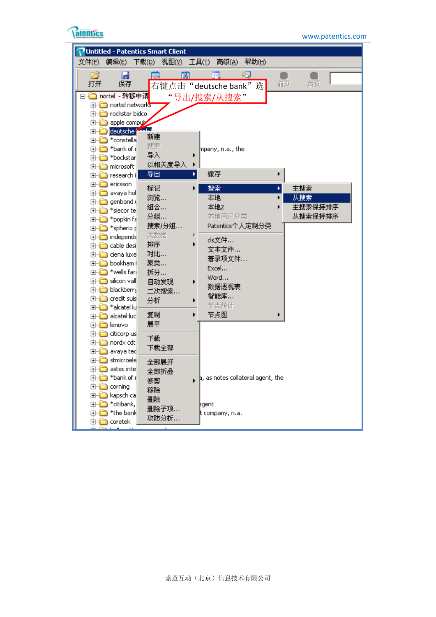

| Untitled - Patentics Smart Client                          |                                           |          |
|------------------------------------------------------------|-------------------------------------------|----------|
| 文件(E)<br>编辑(E)<br>下载(D)                                    | 帮助(H)<br>视图①<br>工具(I)<br>高级(A)            |          |
| É<br>Ы<br>保存<br>打开                                         | PO.<br>日日<br>右键点击"deutsche bank"选         | 前页<br>后页 |
| 白 <mark>□</mark> nortel - 转移申请<br><b>E</b> nortel networks | "导出/搜索/从搜索"                               |          |
| <b>E</b> rockstar bidco                                    |                                           |          |
| apple compute<br>é à                                       |                                           |          |
| deutsche <sup>2</sup><br>⊞…<br>新建                          |                                           |          |
| *constella<br>é è<br>搜索<br>*bank of r<br>ÒĠ                | mpany, n.a., the                          |          |
| 导入<br>*bockstar<br>ÒÒ                                      |                                           |          |
| □ nicrosoft                                                | 以相关度导入                                    |          |
| 导出<br>白 <mark>一</mark> research i                          | 缓存                                        |          |
| é à<br>ericsson<br>标记                                      | 搜索                                        | 主搜索      |
| avaya hol<br>é à<br>浏览…<br>genband (<br>o à                | 本地                                        | 从搜索      |
| *siecor te<br>e-è                                          | 組合<br>本地2                                 | 主搜索保持排序  |
| *popkin fa<br>é à                                          | 分组…<br>本地用户分类                             | 从搜索保持排序  |
| *spherix p<br>é à                                          | 搜索/分组<br>Patentics个人定制分类                  |          |
| <b>⊞ ndepende</b><br>排序<br>cable desi<br>é à               | 大数据<br>cls文件                              |          |
| 由 <mark>心</mark> ciena luxe                                | 文本文件<br>对比…                               |          |
| 聚类…<br>由 <mark>□</mark> bookham (                          | 著录项文件                                     |          |
| *wells fari<br>é à<br>拆分                                   | Excel<br>Word                             |          |
| □ silicon vall                                             | 自动发现<br>数据透视表                             |          |
| 由 blackberry<br>credit suis<br>é à                         | 二次搜索<br>智能库                               |          |
| 分析<br>*alcatel lu<br>é à                                   | 节点统计                                      |          |
| 复制<br>é à<br>alcatel luc                                   | 节点图                                       |          |
| 展平<br>由 <b>n</b> lenovo                                    |                                           |          |
| □ dicorp us<br>下載                                          |                                           |          |
| <b>⊞</b> nordx cdt<br>由 <mark>□</mark> avaya ted           | 下载全部                                      |          |
| □ stmicroele                                               | 全部展开                                      |          |
| 由 <mark>□</mark> astec inte                                | 全部折叠                                      |          |
| *bank of r<br>⊩⊡<br>修剪                                     | $\vert$ a, as notes collateral agent, the |          |
| corning<br>田山口<br>移除<br>kapsch ca                          |                                           |          |
| 田山<br>删除<br>*citibank,<br>FI T                             | խgent                                     |          |
| *the bank<br>e t                                           | 删除子项<br>t company, n.a.                   |          |
| ⊞ in Coretek                                               | 攻防分析                                      |          |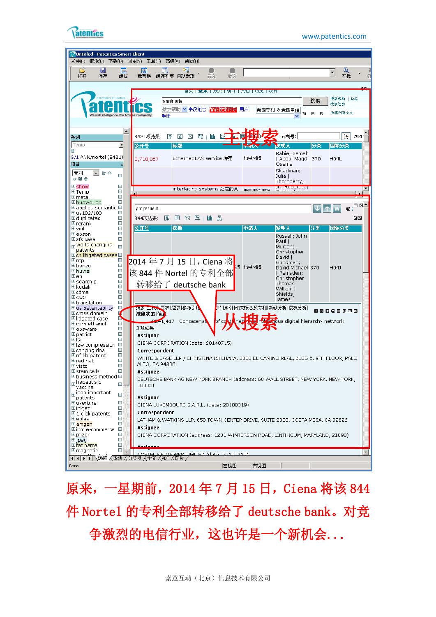

**atentics** www.patentics.com



原来,一星期前, 2014年 7 月 15 日, Ciena 将该 844 件 Nortel 的专利全部转移给了 deutsche bank。对竞 争激烈的电信行业,这也许是一个新机会...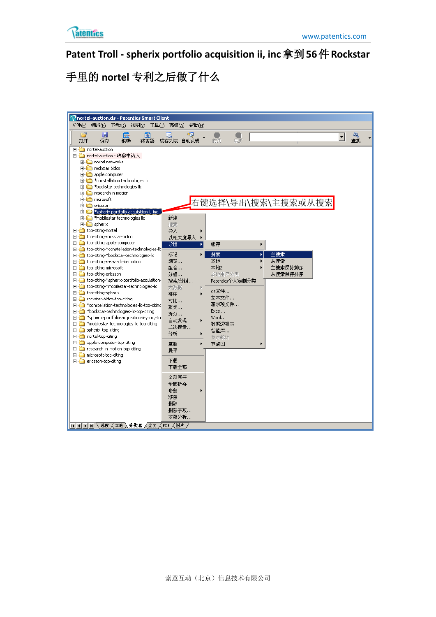

**Patent Troll - spherix portfolio acquisition ii, inc**拿到**56**件**Rockstar**

手里的 **nortel** 专利之后做了什么

| <b>P</b> nortel-auction.cls - Patentics Smart Client                                                                                                                                                                                                                                                                                                                                                                                                                                                                                                                                                                                                                                                                                                                                                                                                                                                                                                                                                                                                                                                                                                                                                                                                                                                                                                                                                                                                                                                                                                                                                                                                               |
|--------------------------------------------------------------------------------------------------------------------------------------------------------------------------------------------------------------------------------------------------------------------------------------------------------------------------------------------------------------------------------------------------------------------------------------------------------------------------------------------------------------------------------------------------------------------------------------------------------------------------------------------------------------------------------------------------------------------------------------------------------------------------------------------------------------------------------------------------------------------------------------------------------------------------------------------------------------------------------------------------------------------------------------------------------------------------------------------------------------------------------------------------------------------------------------------------------------------------------------------------------------------------------------------------------------------------------------------------------------------------------------------------------------------------------------------------------------------------------------------------------------------------------------------------------------------------------------------------------------------------------------------------------------------|
| 文件(E)<br>编辑(E) 下载(D) 视图(Y) 工具(I) 高级(A) 帮助(H)                                                                                                                                                                                                                                                                                                                                                                                                                                                                                                                                                                                                                                                                                                                                                                                                                                                                                                                                                                                                                                                                                                                                                                                                                                                                                                                                                                                                                                                                                                                                                                                                                       |
| Ы<br>P)<br>闊<br>丽<br>醞<br>$\overline{\phantom{a}}$<br>查找<br>保存<br>打开<br>编辑<br>缓存列表 自动发现<br>后页<br>裁剪器<br>前页                                                                                                                                                                                                                                                                                                                                                                                                                                                                                                                                                                                                                                                                                                                                                                                                                                                                                                                                                                                                                                                                                                                                                                                                                                                                                                                                                                                                                                                                                                                                                         |
| <b>⊞</b> nortel-auction<br>白 <mark>□</mark> nortel-auction - 转移申请人<br>in nortel networks<br>Fig. Tockstar bidco<br><b>E</b> - <b>C</b> apple computer<br><b>E</b> <sup>1</sup> *constellation technologies lic<br>Find *bockstar technologies lic<br>E-C research in motion<br>由 microsoft<br>右键选择\导出\搜索\主搜索或从搜索<br><b>E</b> ericsson<br>in <sup>*</sup> spherix portfolio acquisition ii, inc.<br>新建<br>由 *mobilestar technologies lic<br><b>E</b> spherix<br>搜索<br>top-citing-nortel<br>导入<br>由 cop-citing-rockstar-bidco<br>以相关度导入<br>$\blacktriangleright$<br>由 cop-citing-apple-computer<br>导出<br>缓存<br>×<br>▶<br>ti-Cobo-citing-*constellation-technologies-lid<br>标记<br>搜索<br>主搜索<br>٠<br>Þ.<br>ti-in top-citing-*bockstar-technologies-lic<br>浏览<br>本地<br>从搜索<br><b>E</b> top-citing-research-in-motion<br>组合<br>本地2<br>主搜索保持排序<br>top-citing-microsoft<br>本地用户分类<br>top-citing-ericsson<br>分组…<br>从搜索保持排序<br>ting top-citing-*spherix-portfolio-acquisition-<br>搜索/分组<br>Patentics个人定制分类<br>ti-Cobing-*mobilestar-technologies-lic<br>大数据<br>cls文件<br>top-citing-spherix<br>排序<br>文本文件<br>in rockstar-bidco-top-citing<br>对比…<br>著录项文件<br>Fi-Constellation-technologies-lic-top-citind<br>聚类<br>Excel<br>Fi-Cox/star-technologies-lic-top-citing<br>拆分<br>Word<br>Fi-C *spherix-portfolio-acquisition-ii-,-inc,-to<br>自动发现<br>mobilestar-technologies-lic-top-citing<br>数据透视表<br>二次搜索<br>spherix-top-citing<br>智能库<br>分析<br>nortel-top-citing<br>节点统计<br>apple-computer-top-citing<br>节点图<br>复制<br>由 content-in-motion-top-citing<br>展平<br>in microsoft-top-citing<br>下載<br>ericsson-top-citing<br>下载全部<br>全部展开<br>全部折叠<br>修剪<br>移除<br>删除<br>删除子项<br>攻防分析 |
| $\boxed{10}$ $\boxed{1}$ $\boxed{1}$ $\boxed{1}$ $\boxed{2}$ $\frac{1}{2}$ $\frac{1}{2}$ $\frac{1}{2}$ $\frac{1}{2}$ $\frac{1}{2}$ $\frac{1}{2}$ $\frac{1}{2}$ $\frac{1}{2}$ $\frac{1}{2}$ $\frac{1}{2}$ $\frac{1}{2}$ $\frac{1}{2}$ $\frac{1}{2}$ $\frac{1}{2}$ $\frac{1}{2}$ $\frac{1}{2}$ $\frac{1}{2}$ $\frac{1}{2}$                                                                                                                                                                                                                                                                                                                                                                                                                                                                                                                                                                                                                                                                                                                                                                                                                                                                                                                                                                                                                                                                                                                                                                                                                                                                                                                                           |